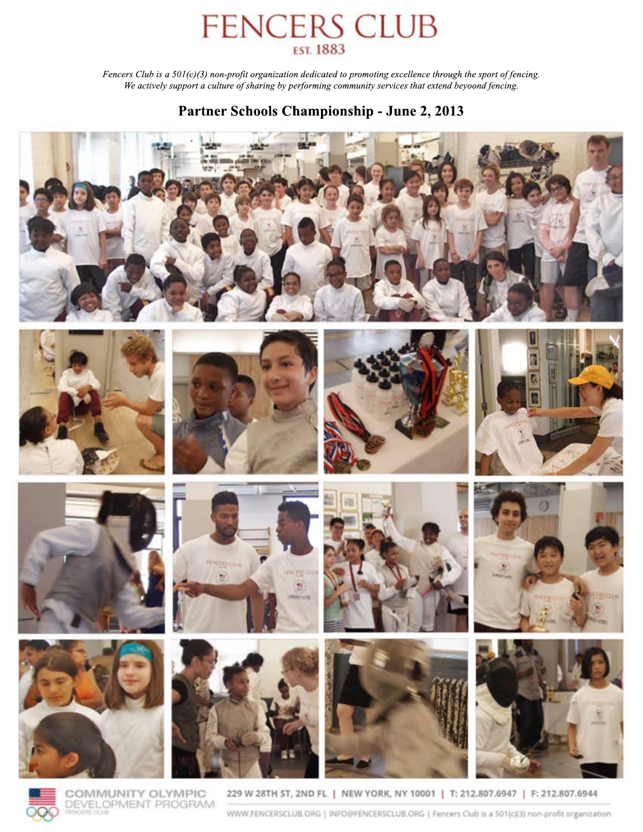# FENCERS CLUB

*Fencers Club is a 501(c)(3) non-profit organization dedicated to promoting excellence through the sport of fencing.* We actively support a culture of sharing by performing community services that extend beyoond fencing.

## Partner Schools Championship - June 2, 2013











COMMUNITY OLYMPIC DEVELOPMENT PROGRAM













229 W 28TH ST, 2ND FL | NEW YORK, NY 10001 | T: 212.807.6947 | F: 212.807.6944

WWW.FENCERSCLUB.ORG | INFO@FENCERSCLUB.ORG | Fencers Club is a 501(c)(3) non-profit organization